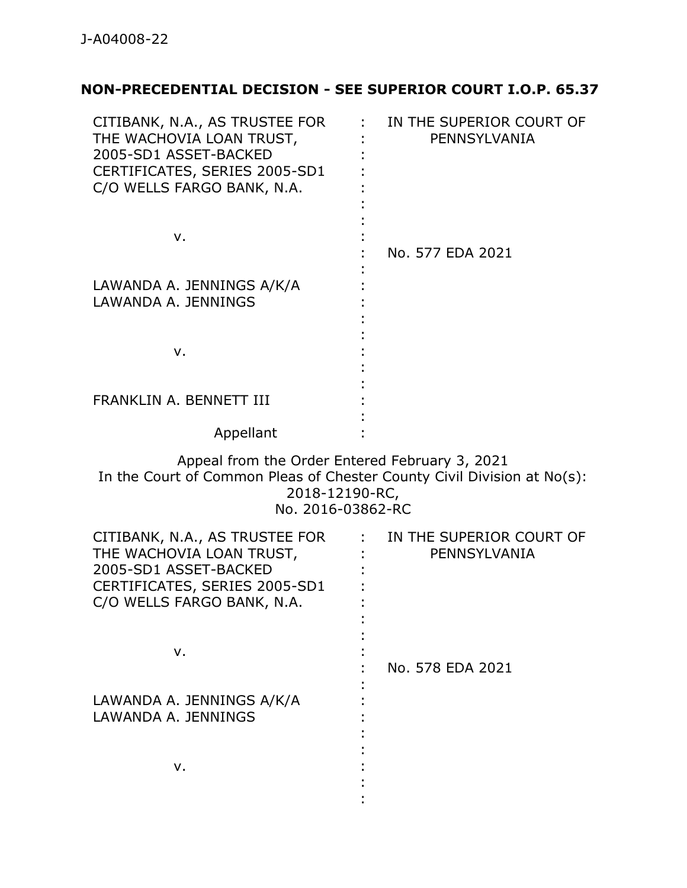## **NON-PRECEDENTIAL DECISION - SEE SUPERIOR COURT I.O.P. 65.37**

| CITIBANK, N.A., AS TRUSTEE FOR<br>THE WACHOVIA LOAN TRUST,<br>2005-SD1 ASSET-BACKED<br>CERTIFICATES, SERIES 2005-SD1<br>C/O WELLS FARGO BANK, N.A.               | IN THE SUPERIOR COURT OF<br>PENNSYLVANIA |
|------------------------------------------------------------------------------------------------------------------------------------------------------------------|------------------------------------------|
| v.                                                                                                                                                               | No. 577 EDA 2021                         |
| LAWANDA A. JENNINGS A/K/A<br>LAWANDA A. JENNINGS                                                                                                                 |                                          |
| v.                                                                                                                                                               |                                          |
| FRANKLIN A. BENNETT III                                                                                                                                          |                                          |
| Appellant                                                                                                                                                        |                                          |
| Appeal from the Order Entered February 3, 2021<br>In the Court of Common Pleas of Chester County Civil Division at No(s):<br>2018-12190-RC,<br>No. 2016-03862-RC |                                          |
| CITIBANK, N.A., AS TRUSTEE FOR<br>THE WACHOVIA LOAN TRUST,<br>2005-SD1 ASSET-BACKED<br>CERTIFICATES, SERIES 2005-SD1<br>C/O WELLS FARGO BANK, N.A.               | IN THE SUPERIOR COURT OF<br>PENNSYLVANIA |
| v.                                                                                                                                                               | No. 578 EDA 2021                         |
| LAWANDA A. JENNINGS A/K/A<br>LAWANDA A. JENNINGS                                                                                                                 |                                          |
| v.                                                                                                                                                               |                                          |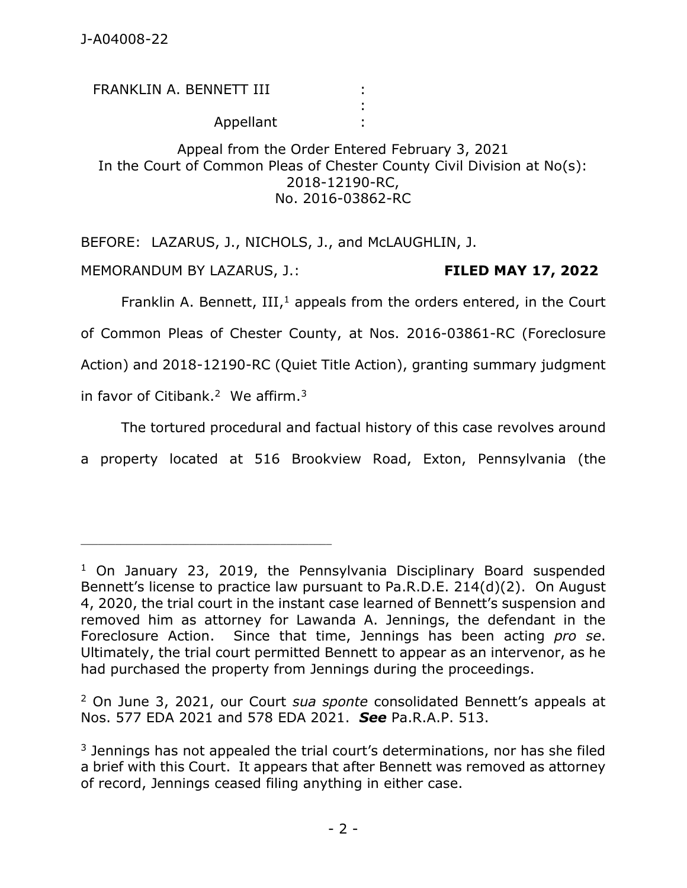FRANKLIN A. BENNETT III Appellant : : :

Appeal from the Order Entered February 3, 2021 In the Court of Common Pleas of Chester County Civil Division at No(s): 2018-12190-RC, No. 2016-03862-RC

BEFORE: LAZARUS, J., NICHOLS, J., and McLAUGHLIN, J.

MEMORANDUM BY LAZARUS, J.: **FILED MAY 17, 2022**

\_\_\_\_\_\_\_\_\_\_\_\_\_\_\_\_\_\_\_\_\_\_\_\_\_\_\_\_\_\_\_\_\_\_\_\_\_\_\_\_\_\_\_\_

Franklin A. Bennett,  $III$ ,<sup>1</sup> appeals from the orders entered, in the Court of Common Pleas of Chester County, at Nos. 2016-03861-RC (Foreclosure Action) and 2018-12190-RC (Quiet Title Action), granting summary judgment in favor of Citibank.<sup>2</sup> We affirm.<sup>3</sup>

The tortured procedural and factual history of this case revolves around

a property located at 516 Brookview Road, Exton, Pennsylvania (the

<sup>2</sup> On June 3, 2021, our Court *sua sponte* consolidated Bennett's appeals at Nos. 577 EDA 2021 and 578 EDA 2021. *See* Pa.R.A.P. 513.

<sup>&</sup>lt;sup>1</sup> On January 23, 2019, the Pennsylvania Disciplinary Board suspended Bennett's license to practice law pursuant to Pa.R.D.E. 214(d)(2). On August 4, 2020, the trial court in the instant case learned of Bennett's suspension and removed him as attorney for Lawanda A. Jennings, the defendant in the Foreclosure Action. Since that time, Jennings has been acting *pro se*. Ultimately, the trial court permitted Bennett to appear as an intervenor, as he had purchased the property from Jennings during the proceedings.

 $3$  Jennings has not appealed the trial court's determinations, nor has she filed a brief with this Court. It appears that after Bennett was removed as attorney of record, Jennings ceased filing anything in either case.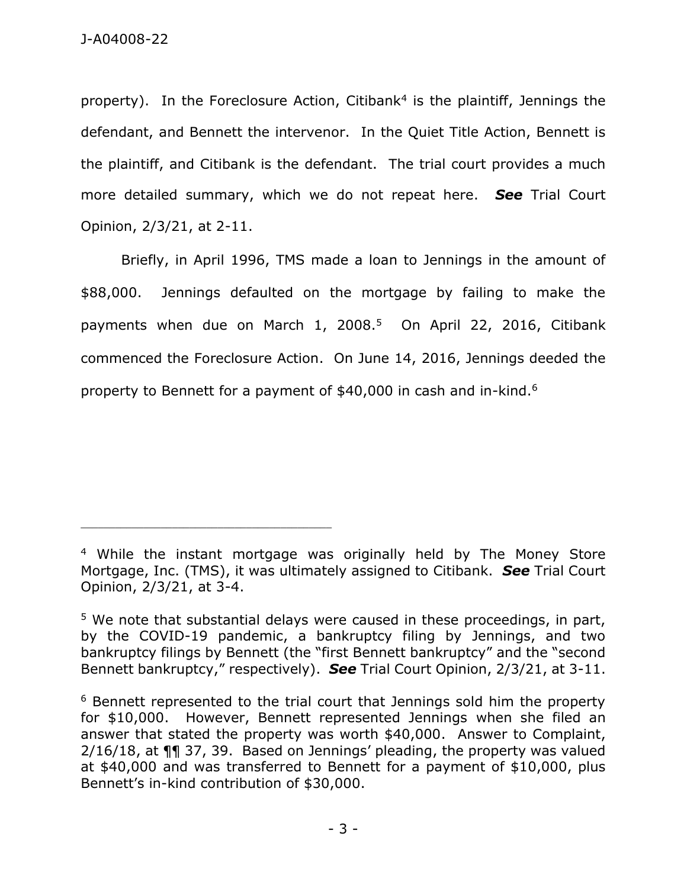property). In the Foreclosure Action, Citibank<sup>4</sup> is the plaintiff, Jennings the defendant, and Bennett the intervenor. In the Quiet Title Action, Bennett is the plaintiff, and Citibank is the defendant. The trial court provides a much more detailed summary, which we do not repeat here. *See* Trial Court Opinion, 2/3/21, at 2-11.

Briefly, in April 1996, TMS made a loan to Jennings in the amount of \$88,000. Jennings defaulted on the mortgage by failing to make the payments when due on March 1, 2008.<sup>5</sup> On April 22, 2016, Citibank commenced the Foreclosure Action. On June 14, 2016, Jennings deeded the property to Bennett for a payment of  $$40,000$  in cash and in-kind.<sup>6</sup>

\_\_\_\_\_\_\_\_\_\_\_\_\_\_\_\_\_\_\_\_\_\_\_\_\_\_\_\_\_\_\_\_\_\_\_\_\_\_\_\_\_\_\_\_

<sup>4</sup> While the instant mortgage was originally held by The Money Store Mortgage, Inc. (TMS), it was ultimately assigned to Citibank. *See* Trial Court Opinion, 2/3/21, at 3-4.

<sup>&</sup>lt;sup>5</sup> We note that substantial delays were caused in these proceedings, in part, by the COVID-19 pandemic, a bankruptcy filing by Jennings, and two bankruptcy filings by Bennett (the "first Bennett bankruptcy" and the "second Bennett bankruptcy," respectively). *See* Trial Court Opinion, 2/3/21, at 3-11.

<sup>6</sup> Bennett represented to the trial court that Jennings sold him the property for \$10,000. However, Bennett represented Jennings when she filed an answer that stated the property was worth \$40,000. Answer to Complaint, 2/16/18, at ¶¶ 37, 39. Based on Jennings' pleading, the property was valued at \$40,000 and was transferred to Bennett for a payment of \$10,000, plus Bennett's in-kind contribution of \$30,000.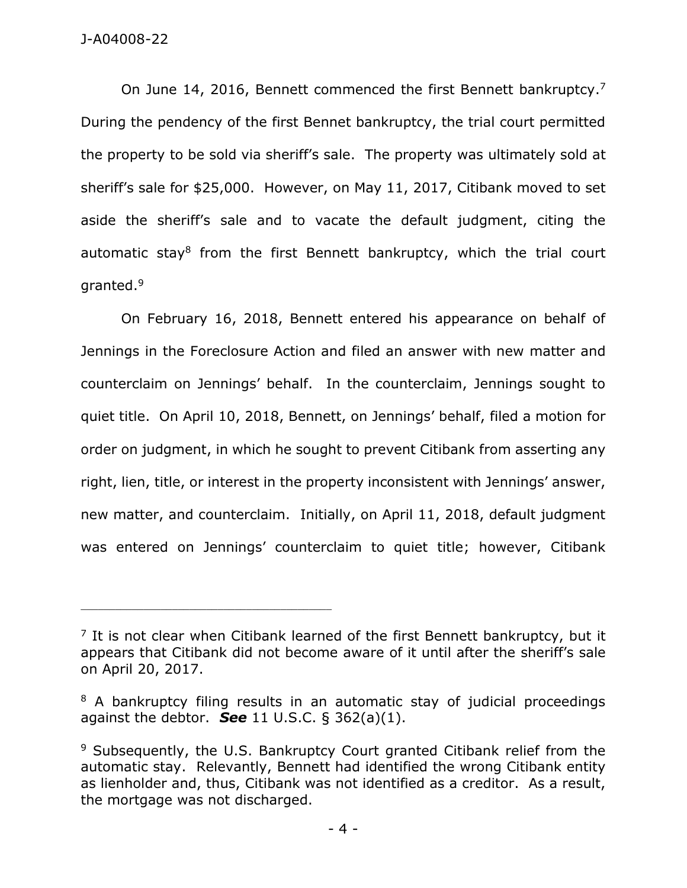## J-A04008-22

On June 14, 2016, Bennett commenced the first Bennett bankruptcy.<sup>7</sup> During the pendency of the first Bennet bankruptcy, the trial court permitted the property to be sold via sheriff's sale. The property was ultimately sold at sheriff's sale for \$25,000. However, on May 11, 2017, Citibank moved to set aside the sheriff's sale and to vacate the default judgment, citing the automatic stay<sup>8</sup> from the first Bennett bankruptcy, which the trial court granted.<sup>9</sup>

On February 16, 2018, Bennett entered his appearance on behalf of Jennings in the Foreclosure Action and filed an answer with new matter and counterclaim on Jennings' behalf. In the counterclaim, Jennings sought to quiet title. On April 10, 2018, Bennett, on Jennings' behalf, filed a motion for order on judgment, in which he sought to prevent Citibank from asserting any right, lien, title, or interest in the property inconsistent with Jennings' answer, new matter, and counterclaim. Initially, on April 11, 2018, default judgment was entered on Jennings' counterclaim to quiet title; however, Citibank

\_\_\_\_\_\_\_\_\_\_\_\_\_\_\_\_\_\_\_\_\_\_\_\_\_\_\_\_\_\_\_\_\_\_\_\_\_\_\_\_\_\_\_\_

 $<sup>7</sup>$  It is not clear when Citibank learned of the first Bennett bankruptcy, but it</sup> appears that Citibank did not become aware of it until after the sheriff's sale on April 20, 2017.

<sup>&</sup>lt;sup>8</sup> A bankruptcy filing results in an automatic stay of judicial proceedings against the debtor. *See* 11 U.S.C. § 362(a)(1).

<sup>&</sup>lt;sup>9</sup> Subsequently, the U.S. Bankruptcy Court granted Citibank relief from the automatic stay. Relevantly, Bennett had identified the wrong Citibank entity as lienholder and, thus, Citibank was not identified as a creditor. As a result, the mortgage was not discharged.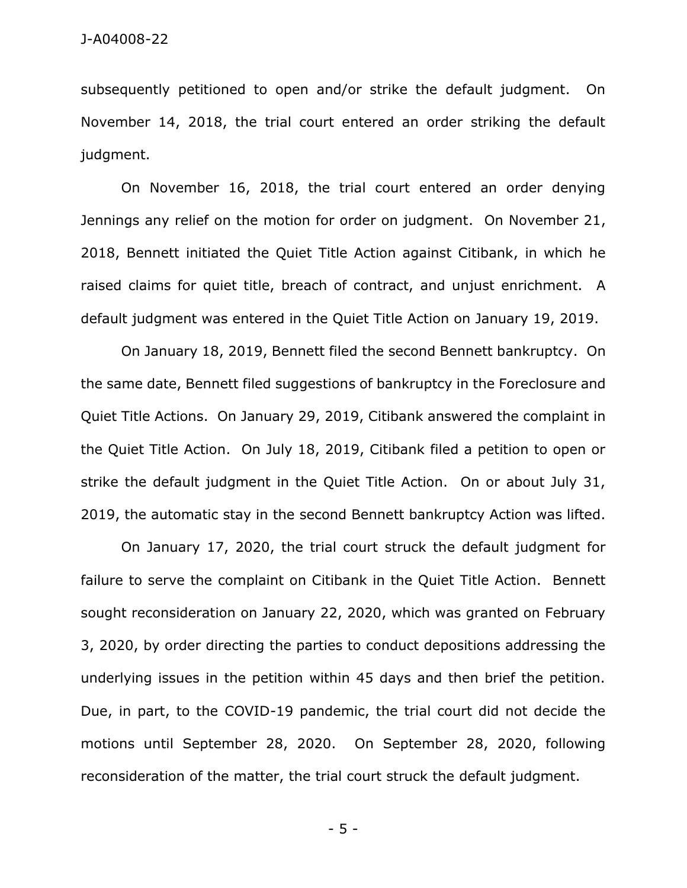subsequently petitioned to open and/or strike the default judgment. On November 14, 2018, the trial court entered an order striking the default judgment.

On November 16, 2018, the trial court entered an order denying Jennings any relief on the motion for order on judgment. On November 21, 2018, Bennett initiated the Quiet Title Action against Citibank, in which he raised claims for quiet title, breach of contract, and unjust enrichment. A default judgment was entered in the Quiet Title Action on January 19, 2019.

On January 18, 2019, Bennett filed the second Bennett bankruptcy. On the same date, Bennett filed suggestions of bankruptcy in the Foreclosure and Quiet Title Actions. On January 29, 2019, Citibank answered the complaint in the Quiet Title Action. On July 18, 2019, Citibank filed a petition to open or strike the default judgment in the Quiet Title Action. On or about July 31, 2019, the automatic stay in the second Bennett bankruptcy Action was lifted.

On January 17, 2020, the trial court struck the default judgment for failure to serve the complaint on Citibank in the Quiet Title Action. Bennett sought reconsideration on January 22, 2020, which was granted on February 3, 2020, by order directing the parties to conduct depositions addressing the underlying issues in the petition within 45 days and then brief the petition. Due, in part, to the COVID-19 pandemic, the trial court did not decide the motions until September 28, 2020. On September 28, 2020, following reconsideration of the matter, the trial court struck the default judgment.

- 5 -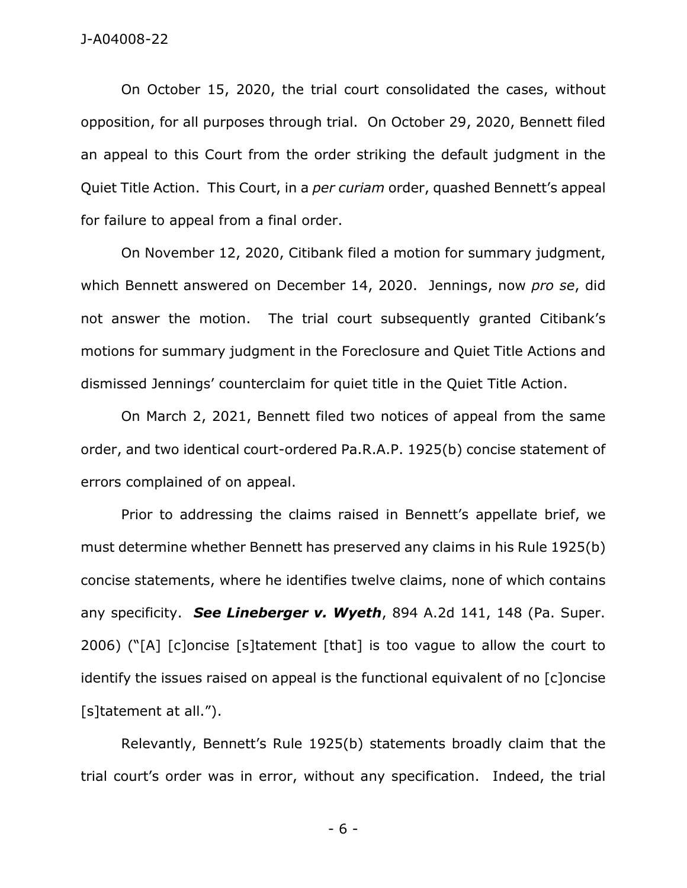On October 15, 2020, the trial court consolidated the cases, without opposition, for all purposes through trial. On October 29, 2020, Bennett filed an appeal to this Court from the order striking the default judgment in the Quiet Title Action. This Court, in a *per curiam* order, quashed Bennett's appeal for failure to appeal from a final order.

On November 12, 2020, Citibank filed a motion for summary judgment, which Bennett answered on December 14, 2020. Jennings, now *pro se*, did not answer the motion. The trial court subsequently granted Citibank's motions for summary judgment in the Foreclosure and Quiet Title Actions and dismissed Jennings' counterclaim for quiet title in the Quiet Title Action.

On March 2, 2021, Bennett filed two notices of appeal from the same order, and two identical court-ordered Pa.R.A.P. 1925(b) concise statement of errors complained of on appeal.

Prior to addressing the claims raised in Bennett's appellate brief, we must determine whether Bennett has preserved any claims in his Rule 1925(b) concise statements, where he identifies twelve claims, none of which contains any specificity. *See Lineberger v. Wyeth*, 894 A.2d 141, 148 (Pa. Super. 2006) ("[A] [c]oncise [s]tatement [that] is too vague to allow the court to identify the issues raised on appeal is the functional equivalent of no [c]oncise [s]tatement at all.").

Relevantly, Bennett's Rule 1925(b) statements broadly claim that the trial court's order was in error, without any specification. Indeed, the trial

- 6 -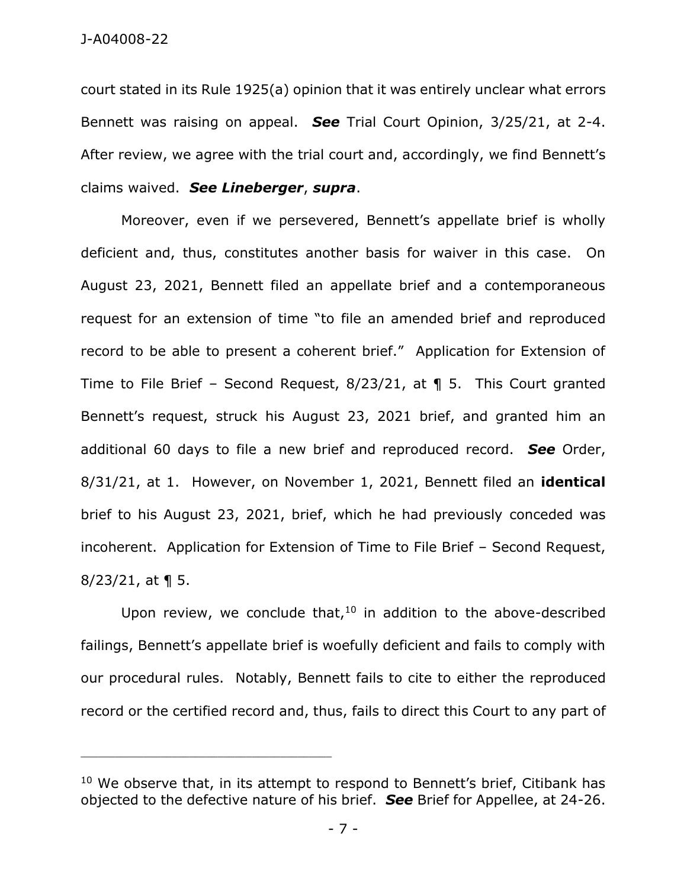court stated in its Rule 1925(a) opinion that it was entirely unclear what errors Bennett was raising on appeal. *See* Trial Court Opinion, 3/25/21, at 2-4. After review, we agree with the trial court and, accordingly, we find Bennett's claims waived. *See Lineberger*, *supra*.

Moreover, even if we persevered, Bennett's appellate brief is wholly deficient and, thus, constitutes another basis for waiver in this case. On August 23, 2021, Bennett filed an appellate brief and a contemporaneous request for an extension of time "to file an amended brief and reproduced record to be able to present a coherent brief." Application for Extension of Time to File Brief – Second Request, 8/23/21, at ¶ 5. This Court granted Bennett's request, struck his August 23, 2021 brief, and granted him an additional 60 days to file a new brief and reproduced record. *See* Order, 8/31/21, at 1. However, on November 1, 2021, Bennett filed an **identical** brief to his August 23, 2021, brief, which he had previously conceded was incoherent. Application for Extension of Time to File Brief – Second Request,  $8/23/21$ , at  $\P$  5.

Upon review, we conclude that, $10$  in addition to the above-described failings, Bennett's appellate brief is woefully deficient and fails to comply with our procedural rules. Notably, Bennett fails to cite to either the reproduced record or the certified record and, thus, fails to direct this Court to any part of

\_\_\_\_\_\_\_\_\_\_\_\_\_\_\_\_\_\_\_\_\_\_\_\_\_\_\_\_\_\_\_\_\_\_\_\_\_\_\_\_\_\_\_\_

<sup>&</sup>lt;sup>10</sup> We observe that, in its attempt to respond to Bennett's brief, Citibank has objected to the defective nature of his brief. *See* Brief for Appellee, at 24-26.